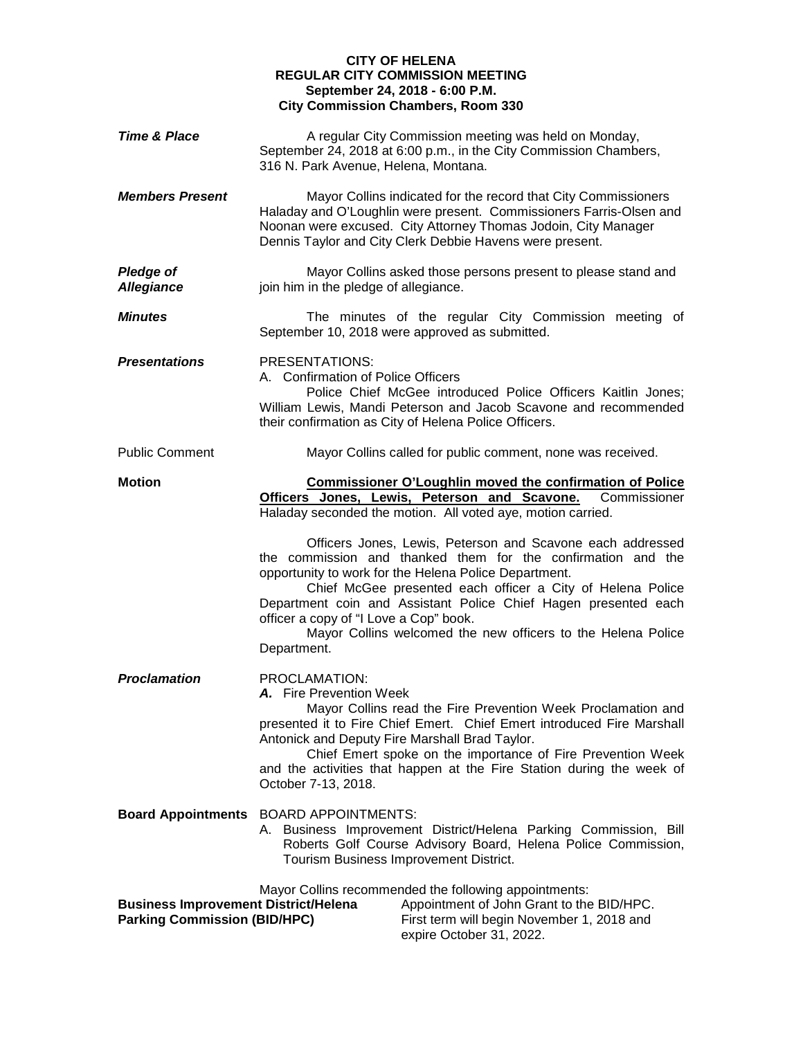## **CITY OF HELENA REGULAR CITY COMMISSION MEETING September 24, 2018 - 6:00 P.M. City Commission Chambers, Room 330**

| <b>Time &amp; Place</b>                                                            | A regular City Commission meeting was held on Monday,<br>September 24, 2018 at 6:00 p.m., in the City Commission Chambers,<br>316 N. Park Avenue, Helena, Montana.                                                                                                                                                                                                                                                                            |
|------------------------------------------------------------------------------------|-----------------------------------------------------------------------------------------------------------------------------------------------------------------------------------------------------------------------------------------------------------------------------------------------------------------------------------------------------------------------------------------------------------------------------------------------|
| <b>Members Present</b>                                                             | Mayor Collins indicated for the record that City Commissioners<br>Haladay and O'Loughlin were present. Commissioners Farris-Olsen and<br>Noonan were excused. City Attorney Thomas Jodoin, City Manager<br>Dennis Taylor and City Clerk Debbie Havens were present.                                                                                                                                                                           |
| <b>Pledge of</b><br><b>Allegiance</b>                                              | Mayor Collins asked those persons present to please stand and<br>join him in the pledge of allegiance.                                                                                                                                                                                                                                                                                                                                        |
| <b>Minutes</b>                                                                     | The minutes of the regular City Commission meeting of<br>September 10, 2018 were approved as submitted.                                                                                                                                                                                                                                                                                                                                       |
| <b>Presentations</b>                                                               | PRESENTATIONS:<br>A. Confirmation of Police Officers<br>Police Chief McGee introduced Police Officers Kaitlin Jones;<br>William Lewis, Mandi Peterson and Jacob Scavone and recommended<br>their confirmation as City of Helena Police Officers.                                                                                                                                                                                              |
| <b>Public Comment</b>                                                              | Mayor Collins called for public comment, none was received.                                                                                                                                                                                                                                                                                                                                                                                   |
| <b>Motion</b>                                                                      | <b>Commissioner O'Loughlin moved the confirmation of Police</b><br>Officers Jones, Lewis, Peterson and Scavone.<br>Commissioner<br>Haladay seconded the motion. All voted aye, motion carried.                                                                                                                                                                                                                                                |
|                                                                                    | Officers Jones, Lewis, Peterson and Scavone each addressed<br>the commission and thanked them for the confirmation and the<br>opportunity to work for the Helena Police Department.<br>Chief McGee presented each officer a City of Helena Police<br>Department coin and Assistant Police Chief Hagen presented each<br>officer a copy of "I Love a Cop" book.<br>Mayor Collins welcomed the new officers to the Helena Police<br>Department. |
| <b>Proclamation</b>                                                                | PROCLAMATION:<br>A. Fire Prevention Week<br>Mayor Collins read the Fire Prevention Week Proclamation and<br>presented it to Fire Chief Emert. Chief Emert introduced Fire Marshall<br>Antonick and Deputy Fire Marshall Brad Taylor.<br>Chief Emert spoke on the importance of Fire Prevention Week<br>and the activities that happen at the Fire Station during the week of<br>October 7-13, 2018.                                           |
| <b>Board Appointments</b>                                                          | <b>BOARD APPOINTMENTS:</b><br>A. Business Improvement District/Helena Parking Commission, Bill<br>Roberts Golf Course Advisory Board, Helena Police Commission,<br>Tourism Business Improvement District.                                                                                                                                                                                                                                     |
| <b>Business Improvement District/Helena</b><br><b>Parking Commission (BID/HPC)</b> | Mayor Collins recommended the following appointments:<br>Appointment of John Grant to the BID/HPC.<br>First term will begin November 1, 2018 and                                                                                                                                                                                                                                                                                              |

expire October 31, 2022.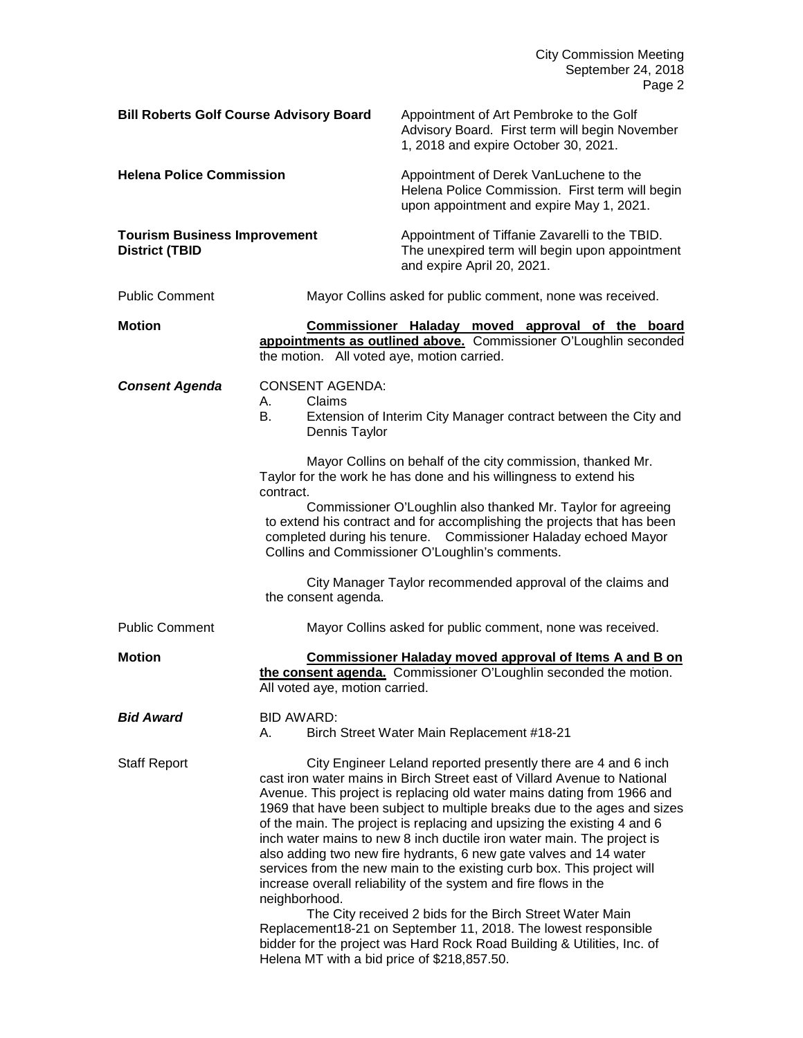City Commission Meeting September 24, 2018 Page 2

| <b>Bill Roberts Golf Course Advisory Board</b>               |                                                               | Appointment of Art Pembroke to the Golf<br>Advisory Board. First term will begin November<br>1, 2018 and expire October 30, 2021.                                                                                                                                                                                                                                                                                                                                                                                                                                                                                                                                                                                                                                                                                                                                                 |
|--------------------------------------------------------------|---------------------------------------------------------------|-----------------------------------------------------------------------------------------------------------------------------------------------------------------------------------------------------------------------------------------------------------------------------------------------------------------------------------------------------------------------------------------------------------------------------------------------------------------------------------------------------------------------------------------------------------------------------------------------------------------------------------------------------------------------------------------------------------------------------------------------------------------------------------------------------------------------------------------------------------------------------------|
| <b>Helena Police Commission</b>                              |                                                               | Appointment of Derek VanLuchene to the<br>Helena Police Commission. First term will begin<br>upon appointment and expire May 1, 2021.                                                                                                                                                                                                                                                                                                                                                                                                                                                                                                                                                                                                                                                                                                                                             |
| <b>Tourism Business Improvement</b><br><b>District (TBID</b> |                                                               | Appointment of Tiffanie Zavarelli to the TBID.<br>The unexpired term will begin upon appointment<br>and expire April 20, 2021.                                                                                                                                                                                                                                                                                                                                                                                                                                                                                                                                                                                                                                                                                                                                                    |
| <b>Public Comment</b>                                        |                                                               | Mayor Collins asked for public comment, none was received.                                                                                                                                                                                                                                                                                                                                                                                                                                                                                                                                                                                                                                                                                                                                                                                                                        |
| <b>Motion</b>                                                | the motion. All voted aye, motion carried.                    | Commissioner Haladay moved approval of the board<br>appointments as outlined above. Commissioner O'Loughlin seconded                                                                                                                                                                                                                                                                                                                                                                                                                                                                                                                                                                                                                                                                                                                                                              |
| <b>Consent Agenda</b>                                        | <b>CONSENT AGENDA:</b><br>Claims<br>А.<br>В.<br>Dennis Taylor | Extension of Interim City Manager contract between the City and                                                                                                                                                                                                                                                                                                                                                                                                                                                                                                                                                                                                                                                                                                                                                                                                                   |
|                                                              | contract.<br>the consent agenda.                              | Mayor Collins on behalf of the city commission, thanked Mr.<br>Taylor for the work he has done and his willingness to extend his<br>Commissioner O'Loughlin also thanked Mr. Taylor for agreeing<br>to extend his contract and for accomplishing the projects that has been<br>completed during his tenure. Commissioner Haladay echoed Mayor<br>Collins and Commissioner O'Loughlin's comments.<br>City Manager Taylor recommended approval of the claims and                                                                                                                                                                                                                                                                                                                                                                                                                    |
| <b>Public Comment</b>                                        |                                                               | Mayor Collins asked for public comment, none was received.                                                                                                                                                                                                                                                                                                                                                                                                                                                                                                                                                                                                                                                                                                                                                                                                                        |
| <b>Motion</b>                                                | All voted aye, motion carried.                                | <b>Commissioner Haladay moved approval of Items A and B on</b><br>the consent agenda. Commissioner O'Loughlin seconded the motion.                                                                                                                                                                                                                                                                                                                                                                                                                                                                                                                                                                                                                                                                                                                                                |
| Bid Award                                                    | <b>BID AWARD:</b><br>А.                                       | Birch Street Water Main Replacement #18-21                                                                                                                                                                                                                                                                                                                                                                                                                                                                                                                                                                                                                                                                                                                                                                                                                                        |
| <b>Staff Report</b>                                          | neighborhood.<br>Helena MT with a bid price of \$218,857.50.  | City Engineer Leland reported presently there are 4 and 6 inch<br>cast iron water mains in Birch Street east of Villard Avenue to National<br>Avenue. This project is replacing old water mains dating from 1966 and<br>1969 that have been subject to multiple breaks due to the ages and sizes<br>of the main. The project is replacing and upsizing the existing 4 and 6<br>inch water mains to new 8 inch ductile iron water main. The project is<br>also adding two new fire hydrants, 6 new gate valves and 14 water<br>services from the new main to the existing curb box. This project will<br>increase overall reliability of the system and fire flows in the<br>The City received 2 bids for the Birch Street Water Main<br>Replacement18-21 on September 11, 2018. The lowest responsible<br>bidder for the project was Hard Rock Road Building & Utilities, Inc. of |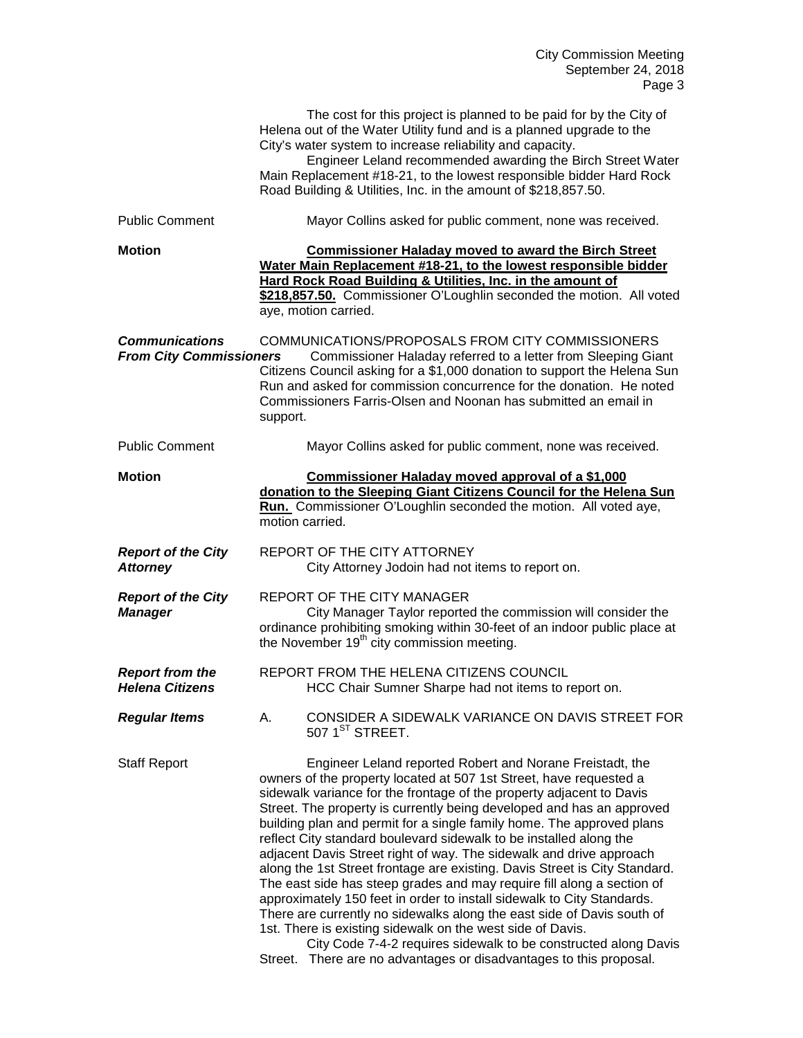|                                                         | The cost for this project is planned to be paid for by the City of<br>Helena out of the Water Utility fund and is a planned upgrade to the<br>City's water system to increase reliability and capacity.<br>Engineer Leland recommended awarding the Birch Street Water<br>Main Replacement #18-21, to the lowest responsible bidder Hard Rock<br>Road Building & Utilities, Inc. in the amount of \$218,857.50.                                                                                                                                                                                                                                                                                                                                                                                                                                                                                                                                     |
|---------------------------------------------------------|-----------------------------------------------------------------------------------------------------------------------------------------------------------------------------------------------------------------------------------------------------------------------------------------------------------------------------------------------------------------------------------------------------------------------------------------------------------------------------------------------------------------------------------------------------------------------------------------------------------------------------------------------------------------------------------------------------------------------------------------------------------------------------------------------------------------------------------------------------------------------------------------------------------------------------------------------------|
| <b>Public Comment</b>                                   | Mayor Collins asked for public comment, none was received.                                                                                                                                                                                                                                                                                                                                                                                                                                                                                                                                                                                                                                                                                                                                                                                                                                                                                          |
| <b>Motion</b>                                           | <b>Commissioner Haladay moved to award the Birch Street</b><br>Water Main Replacement #18-21, to the lowest responsible bidder<br>Hard Rock Road Building & Utilities, Inc. in the amount of<br>\$218,857.50. Commissioner O'Loughlin seconded the motion. All voted<br>aye, motion carried.                                                                                                                                                                                                                                                                                                                                                                                                                                                                                                                                                                                                                                                        |
| <b>Communications</b><br><b>From City Commissioners</b> | COMMUNICATIONS/PROPOSALS FROM CITY COMMISSIONERS<br>Commissioner Haladay referred to a letter from Sleeping Giant<br>Citizens Council asking for a \$1,000 donation to support the Helena Sun<br>Run and asked for commission concurrence for the donation. He noted<br>Commissioners Farris-Olsen and Noonan has submitted an email in<br>support.                                                                                                                                                                                                                                                                                                                                                                                                                                                                                                                                                                                                 |
| <b>Public Comment</b>                                   | Mayor Collins asked for public comment, none was received.                                                                                                                                                                                                                                                                                                                                                                                                                                                                                                                                                                                                                                                                                                                                                                                                                                                                                          |
| <b>Motion</b>                                           | Commissioner Haladay moved approval of a \$1,000<br>donation to the Sleeping Giant Citizens Council for the Helena Sun<br>Run. Commissioner O'Loughlin seconded the motion. All voted aye,<br>motion carried.                                                                                                                                                                                                                                                                                                                                                                                                                                                                                                                                                                                                                                                                                                                                       |
| <b>Report of the City</b><br><b>Attorney</b>            | REPORT OF THE CITY ATTORNEY<br>City Attorney Jodoin had not items to report on.                                                                                                                                                                                                                                                                                                                                                                                                                                                                                                                                                                                                                                                                                                                                                                                                                                                                     |
| <b>Report of the City</b><br><b>Manager</b>             | <b>REPORT OF THE CITY MANAGER</b><br>City Manager Taylor reported the commission will consider the<br>ordinance prohibiting smoking within 30-feet of an indoor public place at<br>the November 19 <sup>th</sup> city commission meeting.                                                                                                                                                                                                                                                                                                                                                                                                                                                                                                                                                                                                                                                                                                           |
| <b>Report from the</b><br><b>Helena Citizens</b>        | REPORT FROM THE HELENA CITIZENS COUNCIL<br>HCC Chair Sumner Sharpe had not items to report on.                                                                                                                                                                                                                                                                                                                                                                                                                                                                                                                                                                                                                                                                                                                                                                                                                                                      |
| <b>Regular Items</b>                                    | CONSIDER A SIDEWALK VARIANCE ON DAVIS STREET FOR<br>Α.<br>507 $1ST$ STREET.                                                                                                                                                                                                                                                                                                                                                                                                                                                                                                                                                                                                                                                                                                                                                                                                                                                                         |
| <b>Staff Report</b>                                     | Engineer Leland reported Robert and Norane Freistadt, the<br>owners of the property located at 507 1st Street, have requested a<br>sidewalk variance for the frontage of the property adjacent to Davis<br>Street. The property is currently being developed and has an approved<br>building plan and permit for a single family home. The approved plans<br>reflect City standard boulevard sidewalk to be installed along the<br>adjacent Davis Street right of way. The sidewalk and drive approach<br>along the 1st Street frontage are existing. Davis Street is City Standard.<br>The east side has steep grades and may require fill along a section of<br>approximately 150 feet in order to install sidewalk to City Standards.<br>There are currently no sidewalks along the east side of Davis south of<br>1st. There is existing sidewalk on the west side of Davis.<br>City Code 7-4-2 requires sidewalk to be constructed along Davis |

Street. There are no advantages or disadvantages to this proposal.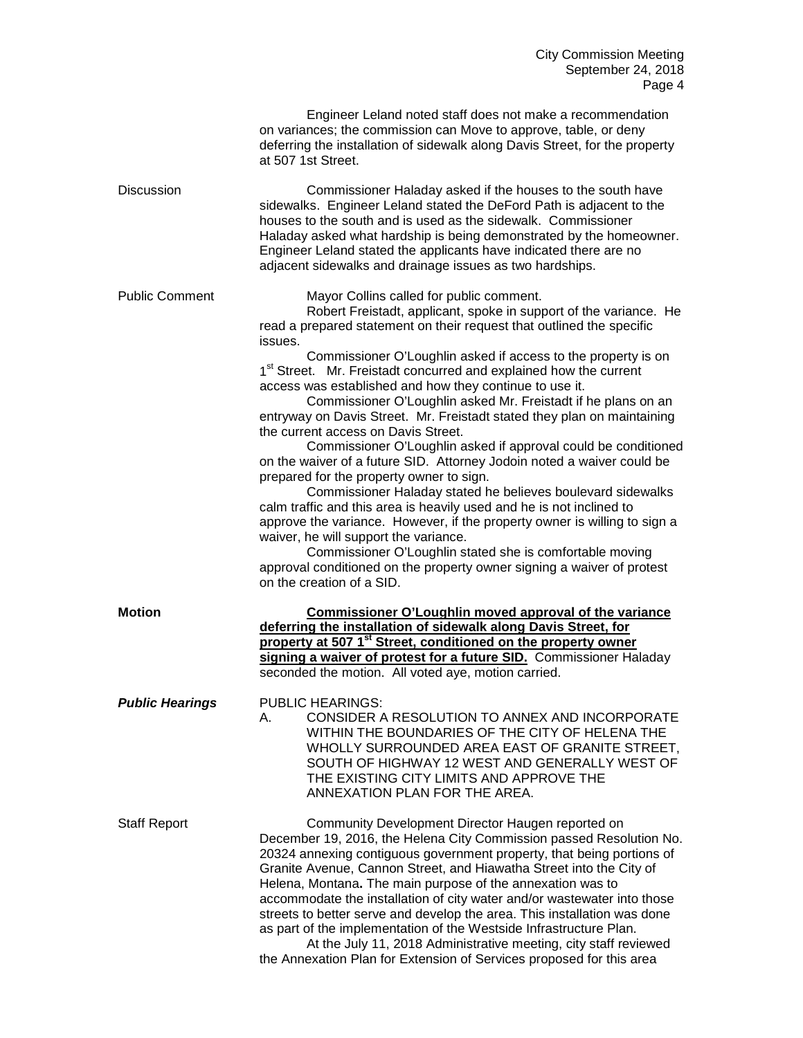|                        | Engineer Leland noted staff does not make a recommendation<br>on variances; the commission can Move to approve, table, or deny<br>deferring the installation of sidewalk along Davis Street, for the property<br>at 507 1st Street.                                                                                                                                                                                                                                                                                                                                                                                                                                                                                                                                                                                                                                                                                                                                                                                                                                                                                                                                                                                       |
|------------------------|---------------------------------------------------------------------------------------------------------------------------------------------------------------------------------------------------------------------------------------------------------------------------------------------------------------------------------------------------------------------------------------------------------------------------------------------------------------------------------------------------------------------------------------------------------------------------------------------------------------------------------------------------------------------------------------------------------------------------------------------------------------------------------------------------------------------------------------------------------------------------------------------------------------------------------------------------------------------------------------------------------------------------------------------------------------------------------------------------------------------------------------------------------------------------------------------------------------------------|
| <b>Discussion</b>      | Commissioner Haladay asked if the houses to the south have<br>sidewalks. Engineer Leland stated the DeFord Path is adjacent to the<br>houses to the south and is used as the sidewalk. Commissioner<br>Haladay asked what hardship is being demonstrated by the homeowner.<br>Engineer Leland stated the applicants have indicated there are no<br>adjacent sidewalks and drainage issues as two hardships.                                                                                                                                                                                                                                                                                                                                                                                                                                                                                                                                                                                                                                                                                                                                                                                                               |
| <b>Public Comment</b>  | Mayor Collins called for public comment.<br>Robert Freistadt, applicant, spoke in support of the variance. He<br>read a prepared statement on their request that outlined the specific<br>issues.<br>Commissioner O'Loughlin asked if access to the property is on<br>1 <sup>st</sup> Street. Mr. Freistadt concurred and explained how the current<br>access was established and how they continue to use it.<br>Commissioner O'Loughlin asked Mr. Freistadt if he plans on an<br>entryway on Davis Street. Mr. Freistadt stated they plan on maintaining<br>the current access on Davis Street.<br>Commissioner O'Loughlin asked if approval could be conditioned<br>on the waiver of a future SID. Attorney Jodoin noted a waiver could be<br>prepared for the property owner to sign.<br>Commissioner Haladay stated he believes boulevard sidewalks<br>calm traffic and this area is heavily used and he is not inclined to<br>approve the variance. However, if the property owner is willing to sign a<br>waiver, he will support the variance.<br>Commissioner O'Loughlin stated she is comfortable moving<br>approval conditioned on the property owner signing a waiver of protest<br>on the creation of a SID. |
| <b>Motion</b>          | Commissioner O'Loughlin moved approval of the variance<br>deferring the installation of sidewalk along Davis Street, for<br>property at 507 1 <sup>st</sup> Street, conditioned on the property owner<br>signing a waiver of protest for a future SID. Commissioner Haladay<br>seconded the motion. All voted aye, motion carried.                                                                                                                                                                                                                                                                                                                                                                                                                                                                                                                                                                                                                                                                                                                                                                                                                                                                                        |
| <b>Public Hearings</b> | <b>PUBLIC HEARINGS:</b><br>CONSIDER A RESOLUTION TO ANNEX AND INCORPORATE<br>А.<br>WITHIN THE BOUNDARIES OF THE CITY OF HELENA THE<br>WHOLLY SURROUNDED AREA EAST OF GRANITE STREET,<br>SOUTH OF HIGHWAY 12 WEST AND GENERALLY WEST OF<br>THE EXISTING CITY LIMITS AND APPROVE THE<br>ANNEXATION PLAN FOR THE AREA.                                                                                                                                                                                                                                                                                                                                                                                                                                                                                                                                                                                                                                                                                                                                                                                                                                                                                                       |
| <b>Staff Report</b>    | Community Development Director Haugen reported on<br>December 19, 2016, the Helena City Commission passed Resolution No.<br>20324 annexing contiguous government property, that being portions of<br>Granite Avenue, Cannon Street, and Hiawatha Street into the City of<br>Helena, Montana. The main purpose of the annexation was to<br>accommodate the installation of city water and/or wastewater into those<br>streets to better serve and develop the area. This installation was done<br>as part of the implementation of the Westside Infrastructure Plan.<br>At the July 11, 2018 Administrative meeting, city staff reviewed                                                                                                                                                                                                                                                                                                                                                                                                                                                                                                                                                                                   |

the Annexation Plan for Extension of Services proposed for this area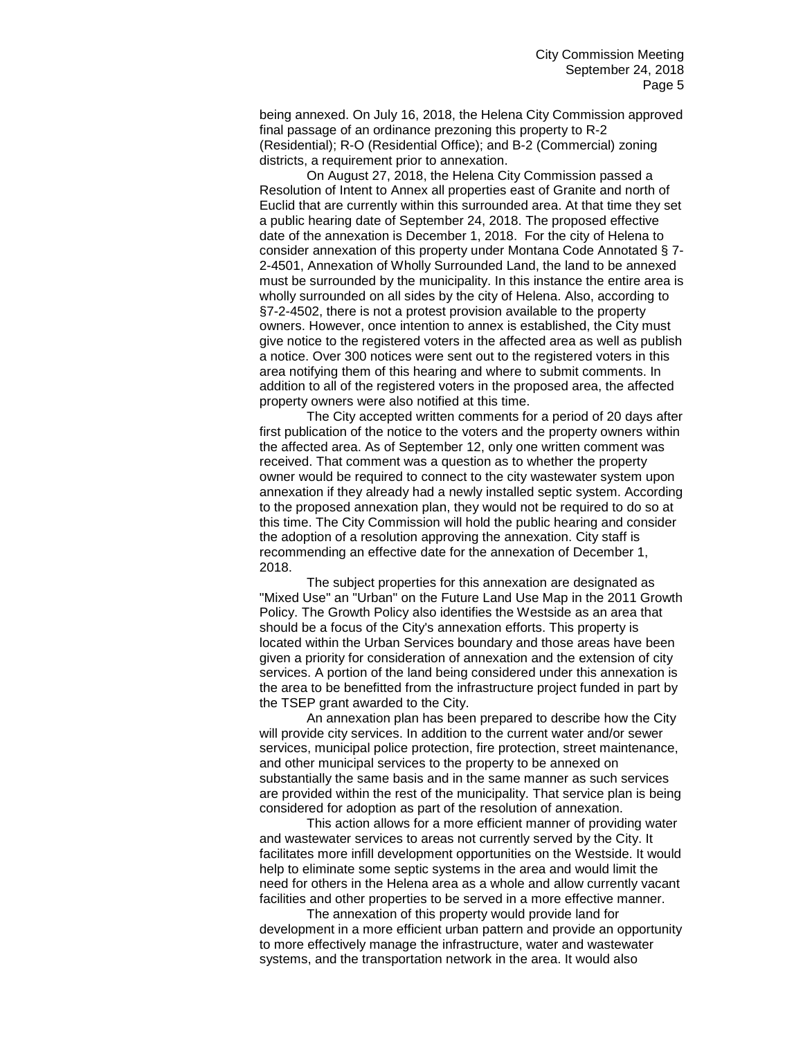being annexed. On July 16, 2018, the Helena City Commission approved final passage of an ordinance prezoning this property to R-2 (Residential); R-O (Residential Office); and B-2 (Commercial) zoning districts, a requirement prior to annexation.

On August 27, 2018, the Helena City Commission passed a Resolution of Intent to Annex all properties east of Granite and north of Euclid that are currently within this surrounded area. At that time they set a public hearing date of September 24, 2018. The proposed effective date of the annexation is December 1, 2018. For the city of Helena to consider annexation of this property under Montana Code Annotated § 7- 2-4501, Annexation of Wholly Surrounded Land, the land to be annexed must be surrounded by the municipality. In this instance the entire area is wholly surrounded on all sides by the city of Helena. Also, according to §7-2-4502, there is not a protest provision available to the property owners. However, once intention to annex is established, the City must give notice to the registered voters in the affected area as well as publish a notice. Over 300 notices were sent out to the registered voters in this area notifying them of this hearing and where to submit comments. In addition to all of the registered voters in the proposed area, the affected property owners were also notified at this time.

The City accepted written comments for a period of 20 days after first publication of the notice to the voters and the property owners within the affected area. As of September 12, only one written comment was received. That comment was a question as to whether the property owner would be required to connect to the city wastewater system upon annexation if they already had a newly installed septic system. According to the proposed annexation plan, they would not be required to do so at this time. The City Commission will hold the public hearing and consider the adoption of a resolution approving the annexation. City staff is recommending an effective date for the annexation of December 1, 2018.

The subject properties for this annexation are designated as "Mixed Use" an "Urban" on the Future Land Use Map in the 2011 Growth Policy. The Growth Policy also identifies the Westside as an area that should be a focus of the City's annexation efforts. This property is located within the Urban Services boundary and those areas have been given a priority for consideration of annexation and the extension of city services. A portion of the land being considered under this annexation is the area to be benefitted from the infrastructure project funded in part by the TSEP grant awarded to the City.

An annexation plan has been prepared to describe how the City will provide city services. In addition to the current water and/or sewer services, municipal police protection, fire protection, street maintenance, and other municipal services to the property to be annexed on substantially the same basis and in the same manner as such services are provided within the rest of the municipality. That service plan is being considered for adoption as part of the resolution of annexation.

This action allows for a more efficient manner of providing water and wastewater services to areas not currently served by the City. It facilitates more infill development opportunities on the Westside. It would help to eliminate some septic systems in the area and would limit the need for others in the Helena area as a whole and allow currently vacant facilities and other properties to be served in a more effective manner.

The annexation of this property would provide land for development in a more efficient urban pattern and provide an opportunity to more effectively manage the infrastructure, water and wastewater systems, and the transportation network in the area. It would also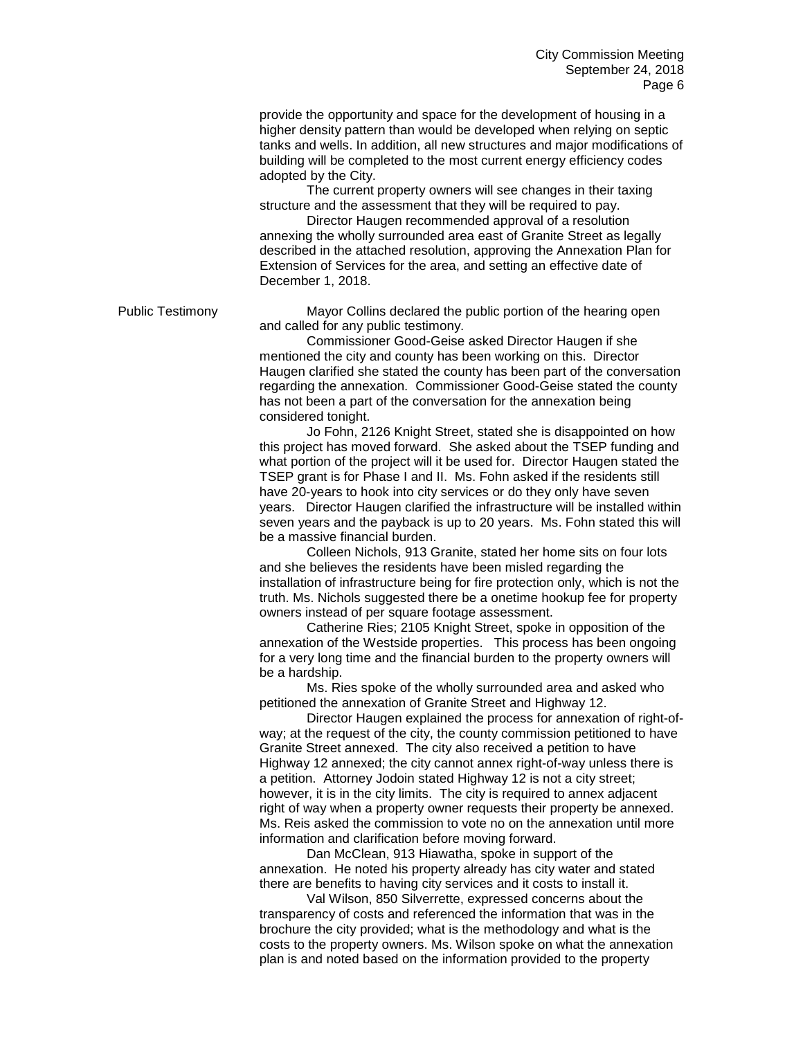provide the opportunity and space for the development of housing in a higher density pattern than would be developed when relying on septic tanks and wells. In addition, all new structures and major modifications of building will be completed to the most current energy efficiency codes adopted by the City.

The current property owners will see changes in their taxing structure and the assessment that they will be required to pay.

Director Haugen recommended approval of a resolution annexing the wholly surrounded area east of Granite Street as legally described in the attached resolution, approving the Annexation Plan for Extension of Services for the area, and setting an effective date of December 1, 2018.

Public Testimony Mayor Collins declared the public portion of the hearing open and called for any public testimony.

> Commissioner Good-Geise asked Director Haugen if she mentioned the city and county has been working on this. Director Haugen clarified she stated the county has been part of the conversation regarding the annexation. Commissioner Good-Geise stated the county has not been a part of the conversation for the annexation being considered tonight.

> Jo Fohn, 2126 Knight Street, stated she is disappointed on how this project has moved forward. She asked about the TSEP funding and what portion of the project will it be used for. Director Haugen stated the TSEP grant is for Phase I and II. Ms. Fohn asked if the residents still have 20-years to hook into city services or do they only have seven years. Director Haugen clarified the infrastructure will be installed within seven years and the payback is up to 20 years. Ms. Fohn stated this will be a massive financial burden.

> Colleen Nichols, 913 Granite, stated her home sits on four lots and she believes the residents have been misled regarding the installation of infrastructure being for fire protection only, which is not the truth. Ms. Nichols suggested there be a onetime hookup fee for property owners instead of per square footage assessment.

> Catherine Ries; 2105 Knight Street, spoke in opposition of the annexation of the Westside properties. This process has been ongoing for a very long time and the financial burden to the property owners will be a hardship.

Ms. Ries spoke of the wholly surrounded area and asked who petitioned the annexation of Granite Street and Highway 12.

Director Haugen explained the process for annexation of right-ofway; at the request of the city, the county commission petitioned to have Granite Street annexed. The city also received a petition to have Highway 12 annexed; the city cannot annex right-of-way unless there is a petition. Attorney Jodoin stated Highway 12 is not a city street; however, it is in the city limits. The city is required to annex adjacent right of way when a property owner requests their property be annexed. Ms. Reis asked the commission to vote no on the annexation until more information and clarification before moving forward.

Dan McClean, 913 Hiawatha, spoke in support of the annexation. He noted his property already has city water and stated there are benefits to having city services and it costs to install it.

Val Wilson, 850 Silverrette, expressed concerns about the transparency of costs and referenced the information that was in the brochure the city provided; what is the methodology and what is the costs to the property owners. Ms. Wilson spoke on what the annexation plan is and noted based on the information provided to the property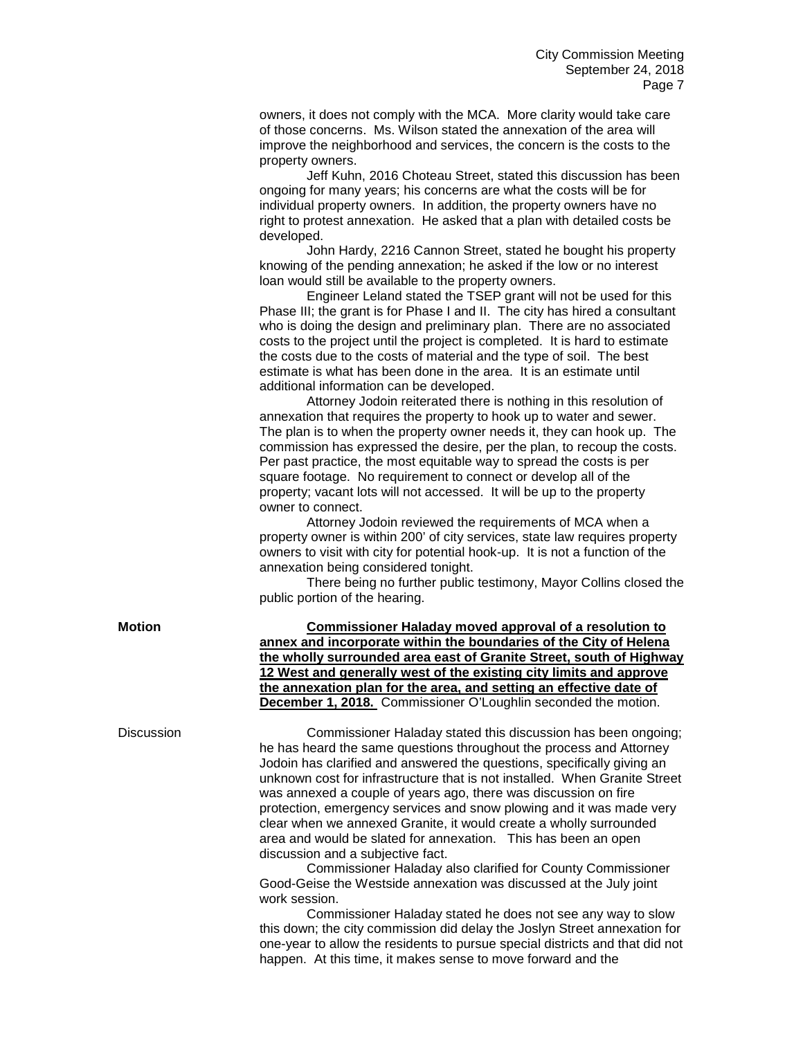owners, it does not comply with the MCA. More clarity would take care of those concerns. Ms. Wilson stated the annexation of the area will improve the neighborhood and services, the concern is the costs to the property owners.

Jeff Kuhn, 2016 Choteau Street, stated this discussion has been ongoing for many years; his concerns are what the costs will be for individual property owners. In addition, the property owners have no right to protest annexation. He asked that a plan with detailed costs be developed.

John Hardy, 2216 Cannon Street, stated he bought his property knowing of the pending annexation; he asked if the low or no interest loan would still be available to the property owners.

Engineer Leland stated the TSEP grant will not be used for this Phase III; the grant is for Phase I and II. The city has hired a consultant who is doing the design and preliminary plan. There are no associated costs to the project until the project is completed. It is hard to estimate the costs due to the costs of material and the type of soil. The best estimate is what has been done in the area. It is an estimate until additional information can be developed.

Attorney Jodoin reiterated there is nothing in this resolution of annexation that requires the property to hook up to water and sewer. The plan is to when the property owner needs it, they can hook up. The commission has expressed the desire, per the plan, to recoup the costs. Per past practice, the most equitable way to spread the costs is per square footage. No requirement to connect or develop all of the property; vacant lots will not accessed. It will be up to the property owner to connect.

Attorney Jodoin reviewed the requirements of MCA when a property owner is within 200' of city services, state law requires property owners to visit with city for potential hook-up. It is not a function of the annexation being considered tonight.

There being no further public testimony, Mayor Collins closed the public portion of the hearing.

**Motion Commissioner Haladay moved approval of a resolution to annex and incorporate within the boundaries of the City of Helena the wholly surrounded area east of Granite Street, south of Highway 12 West and generally west of the existing city limits and approve the annexation plan for the area, and setting an effective date of December 1, 2018.** Commissioner O'Loughlin seconded the motion.

Discussion Commissioner Haladay stated this discussion has been ongoing; he has heard the same questions throughout the process and Attorney Jodoin has clarified and answered the questions, specifically giving an unknown cost for infrastructure that is not installed. When Granite Street was annexed a couple of years ago, there was discussion on fire protection, emergency services and snow plowing and it was made very clear when we annexed Granite, it would create a wholly surrounded area and would be slated for annexation. This has been an open discussion and a subjective fact.

> Commissioner Haladay also clarified for County Commissioner Good-Geise the Westside annexation was discussed at the July joint work session.

Commissioner Haladay stated he does not see any way to slow this down; the city commission did delay the Joslyn Street annexation for one-year to allow the residents to pursue special districts and that did not happen. At this time, it makes sense to move forward and the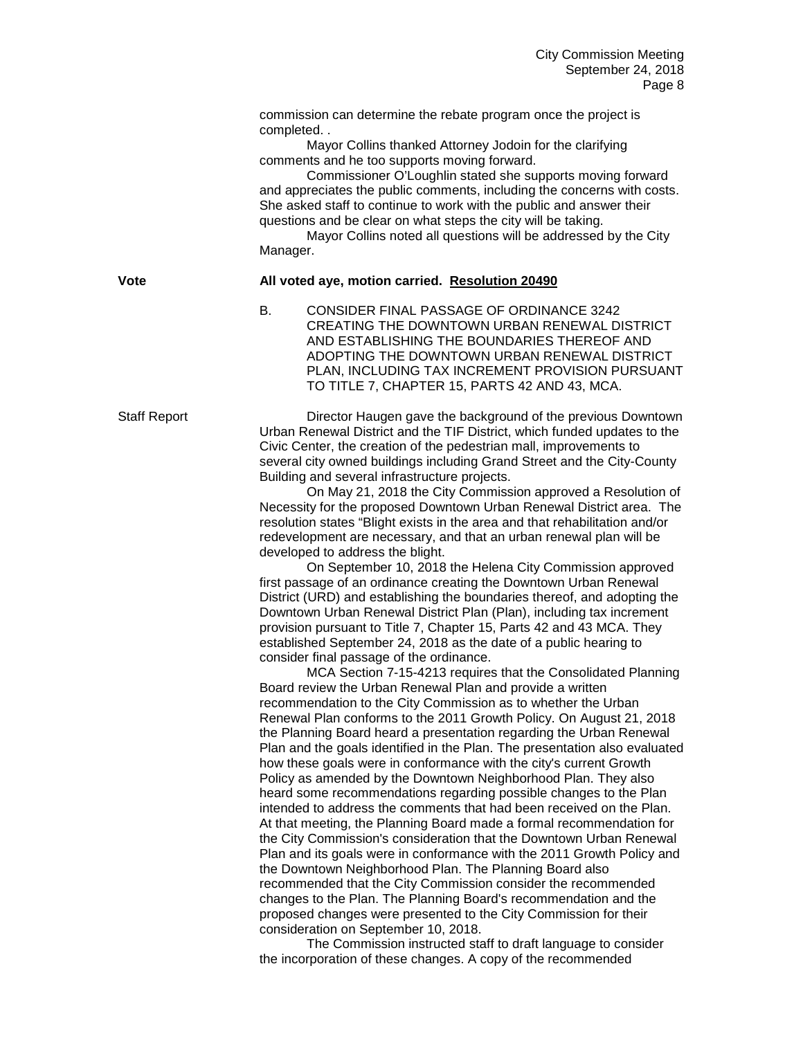commission can determine the rebate program once the project is completed. .

Mayor Collins thanked Attorney Jodoin for the clarifying comments and he too supports moving forward.

Commissioner O'Loughlin stated she supports moving forward and appreciates the public comments, including the concerns with costs. She asked staff to continue to work with the public and answer their questions and be clear on what steps the city will be taking.

Mayor Collins noted all questions will be addressed by the City Manager.

**Vote All voted aye, motion carried. Resolution 20490**

B. CONSIDER FINAL PASSAGE OF ORDINANCE 3242 CREATING THE DOWNTOWN URBAN RENEWAL DISTRICT AND ESTABLISHING THE BOUNDARIES THEREOF AND ADOPTING THE DOWNTOWN URBAN RENEWAL DISTRICT PLAN, INCLUDING TAX INCREMENT PROVISION PURSUANT TO TITLE 7, CHAPTER 15, PARTS 42 AND 43, MCA.

Staff Report Director Haugen gave the background of the previous Downtown Urban Renewal District and the TIF District, which funded updates to the Civic Center, the creation of the pedestrian mall, improvements to several city owned buildings including Grand Street and the City-County Building and several infrastructure projects.

> On May 21, 2018 the City Commission approved a Resolution of Necessity for the proposed Downtown Urban Renewal District area. The resolution states "Blight exists in the area and that rehabilitation and/or redevelopment are necessary, and that an urban renewal plan will be developed to address the blight.

> On September 10, 2018 the Helena City Commission approved first passage of an ordinance creating the Downtown Urban Renewal District (URD) and establishing the boundaries thereof, and adopting the Downtown Urban Renewal District Plan (Plan), including tax increment provision pursuant to Title 7, Chapter 15, Parts 42 and 43 MCA. They established September 24, 2018 as the date of a public hearing to consider final passage of the ordinance.

MCA Section 7-15-4213 requires that the Consolidated Planning Board review the Urban Renewal Plan and provide a written recommendation to the City Commission as to whether the Urban Renewal Plan conforms to the 2011 Growth Policy. On August 21, 2018 the Planning Board heard a presentation regarding the Urban Renewal Plan and the goals identified in the Plan. The presentation also evaluated how these goals were in conformance with the city's current Growth Policy as amended by the Downtown Neighborhood Plan. They also heard some recommendations regarding possible changes to the Plan intended to address the comments that had been received on the Plan. At that meeting, the Planning Board made a formal recommendation for the City Commission's consideration that the Downtown Urban Renewal Plan and its goals were in conformance with the 2011 Growth Policy and the Downtown Neighborhood Plan. The Planning Board also recommended that the City Commission consider the recommended changes to the Plan. The Planning Board's recommendation and the proposed changes were presented to the City Commission for their consideration on September 10, 2018.

The Commission instructed staff to draft language to consider the incorporation of these changes. A copy of the recommended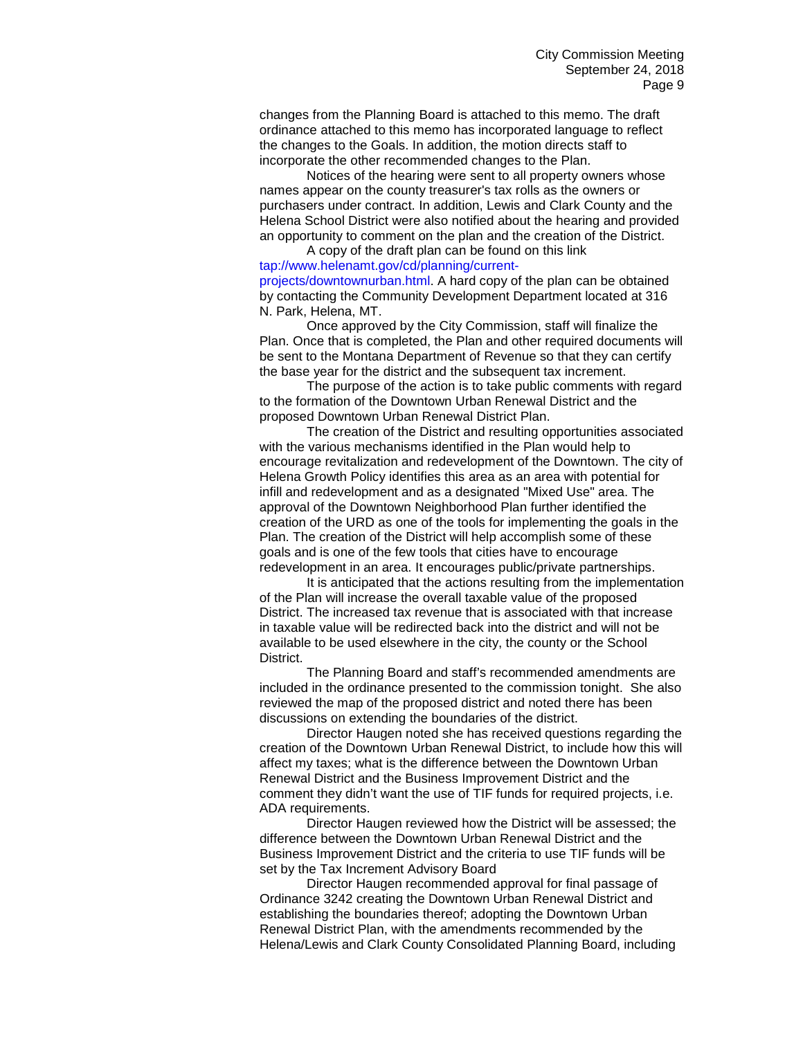changes from the Planning Board is attached to this memo. The draft ordinance attached to this memo has incorporated language to reflect the changes to the Goals. In addition, the motion directs staff to incorporate the other recommended changes to the Plan.

Notices of the hearing were sent to all property owners whose names appear on the county treasurer's tax rolls as the owners or purchasers under contract. In addition, Lewis and Clark County and the Helena School District were also notified about the hearing and provided an opportunity to comment on the plan and the creation of the District.

## A copy of the draft plan can be found on this link tap://www.helenamt.gov/cd/planning/current-

projects/downtownurban.html. A hard copy of the plan can be obtained by contacting the Community Development Department located at 316 N. Park, Helena, MT.

Once approved by the City Commission, staff will finalize the Plan. Once that is completed, the Plan and other required documents will be sent to the Montana Department of Revenue so that they can certify the base year for the district and the subsequent tax increment.

The purpose of the action is to take public comments with regard to the formation of the Downtown Urban Renewal District and the proposed Downtown Urban Renewal District Plan.

The creation of the District and resulting opportunities associated with the various mechanisms identified in the Plan would help to encourage revitalization and redevelopment of the Downtown. The city of Helena Growth Policy identifies this area as an area with potential for infill and redevelopment and as a designated "Mixed Use" area. The approval of the Downtown Neighborhood Plan further identified the creation of the URD as one of the tools for implementing the goals in the Plan. The creation of the District will help accomplish some of these goals and is one of the few tools that cities have to encourage redevelopment in an area. It encourages public/private partnerships.

It is anticipated that the actions resulting from the implementation of the Plan will increase the overall taxable value of the proposed District. The increased tax revenue that is associated with that increase in taxable value will be redirected back into the district and will not be available to be used elsewhere in the city, the county or the School District.

The Planning Board and staff's recommended amendments are included in the ordinance presented to the commission tonight. She also reviewed the map of the proposed district and noted there has been discussions on extending the boundaries of the district.

Director Haugen noted she has received questions regarding the creation of the Downtown Urban Renewal District, to include how this will affect my taxes; what is the difference between the Downtown Urban Renewal District and the Business Improvement District and the comment they didn't want the use of TIF funds for required projects, i.e. ADA requirements.

Director Haugen reviewed how the District will be assessed; the difference between the Downtown Urban Renewal District and the Business Improvement District and the criteria to use TIF funds will be set by the Tax Increment Advisory Board

Director Haugen recommended approval for final passage of Ordinance 3242 creating the Downtown Urban Renewal District and establishing the boundaries thereof; adopting the Downtown Urban Renewal District Plan, with the amendments recommended by the Helena/Lewis and Clark County Consolidated Planning Board, including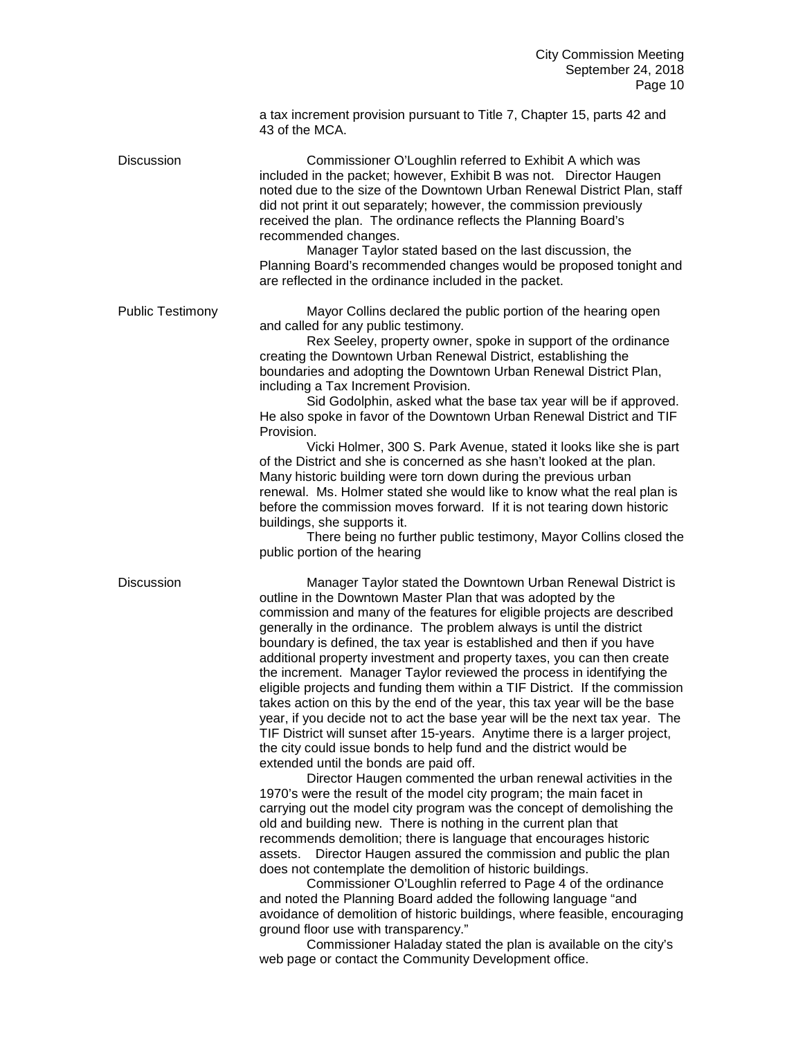a tax increment provision pursuant to Title 7, Chapter 15, parts 42 and 43 of the MCA.

Discussion Commissioner O'Loughlin referred to Exhibit A which was included in the packet; however, Exhibit B was not. Director Haugen noted due to the size of the Downtown Urban Renewal District Plan, staff did not print it out separately; however, the commission previously received the plan. The ordinance reflects the Planning Board's recommended changes.

Manager Taylor stated based on the last discussion, the Planning Board's recommended changes would be proposed tonight and are reflected in the ordinance included in the packet.

Public Testimony Mayor Collins declared the public portion of the hearing open and called for any public testimony.

> Rex Seeley, property owner, spoke in support of the ordinance creating the Downtown Urban Renewal District, establishing the boundaries and adopting the Downtown Urban Renewal District Plan, including a Tax Increment Provision.

Sid Godolphin, asked what the base tax year will be if approved. He also spoke in favor of the Downtown Urban Renewal District and TIF Provision.

Vicki Holmer, 300 S. Park Avenue, stated it looks like she is part of the District and she is concerned as she hasn't looked at the plan. Many historic building were torn down during the previous urban renewal. Ms. Holmer stated she would like to know what the real plan is before the commission moves forward. If it is not tearing down historic buildings, she supports it.

There being no further public testimony, Mayor Collins closed the public portion of the hearing

Discussion Manager Taylor stated the Downtown Urban Renewal District is outline in the Downtown Master Plan that was adopted by the commission and many of the features for eligible projects are described generally in the ordinance. The problem always is until the district boundary is defined, the tax year is established and then if you have additional property investment and property taxes, you can then create the increment. Manager Taylor reviewed the process in identifying the eligible projects and funding them within a TIF District. If the commission takes action on this by the end of the year, this tax year will be the base year, if you decide not to act the base year will be the next tax year. The TIF District will sunset after 15-years. Anytime there is a larger project, the city could issue bonds to help fund and the district would be extended until the bonds are paid off.

> Director Haugen commented the urban renewal activities in the 1970's were the result of the model city program; the main facet in carrying out the model city program was the concept of demolishing the old and building new. There is nothing in the current plan that recommends demolition; there is language that encourages historic assets. Director Haugen assured the commission and public the plan does not contemplate the demolition of historic buildings.

Commissioner O'Loughlin referred to Page 4 of the ordinance and noted the Planning Board added the following language "and avoidance of demolition of historic buildings, where feasible, encouraging ground floor use with transparency."

Commissioner Haladay stated the plan is available on the city's web page or contact the Community Development office.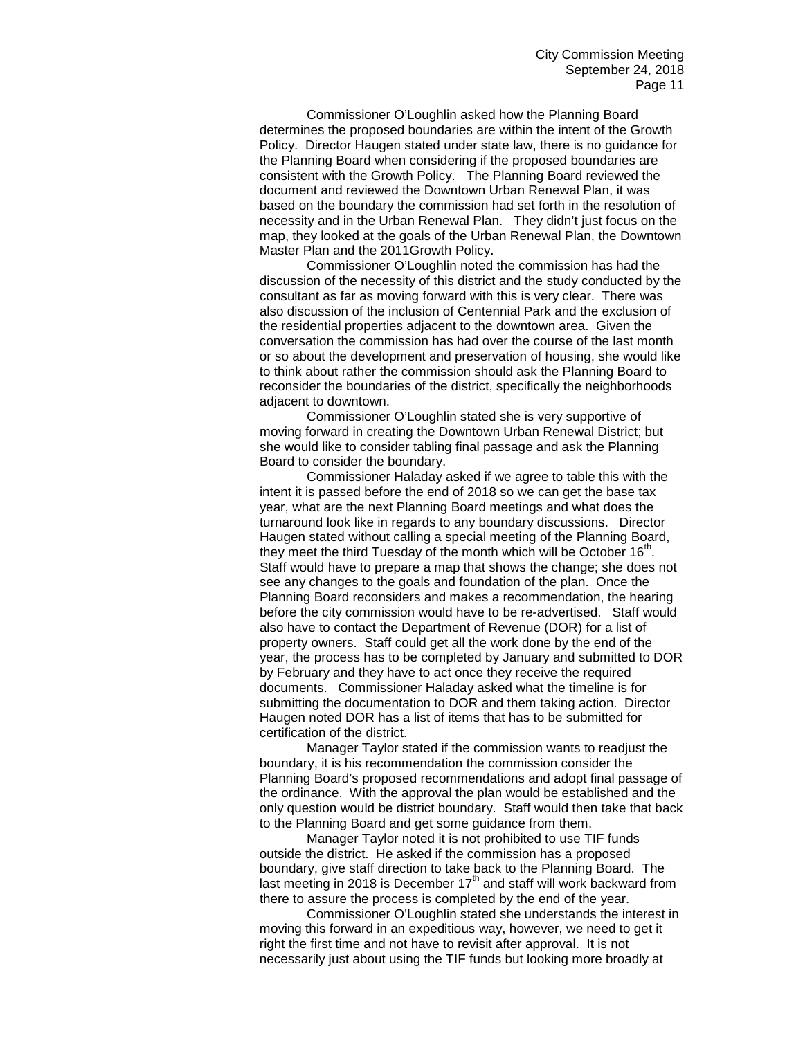Commissioner O'Loughlin asked how the Planning Board determines the proposed boundaries are within the intent of the Growth Policy. Director Haugen stated under state law, there is no guidance for the Planning Board when considering if the proposed boundaries are consistent with the Growth Policy. The Planning Board reviewed the document and reviewed the Downtown Urban Renewal Plan, it was based on the boundary the commission had set forth in the resolution of necessity and in the Urban Renewal Plan. They didn't just focus on the map, they looked at the goals of the Urban Renewal Plan, the Downtown Master Plan and the 2011Growth Policy.

Commissioner O'Loughlin noted the commission has had the discussion of the necessity of this district and the study conducted by the consultant as far as moving forward with this is very clear. There was also discussion of the inclusion of Centennial Park and the exclusion of the residential properties adjacent to the downtown area. Given the conversation the commission has had over the course of the last month or so about the development and preservation of housing, she would like to think about rather the commission should ask the Planning Board to reconsider the boundaries of the district, specifically the neighborhoods adjacent to downtown.

Commissioner O'Loughlin stated she is very supportive of moving forward in creating the Downtown Urban Renewal District; but she would like to consider tabling final passage and ask the Planning Board to consider the boundary.

Commissioner Haladay asked if we agree to table this with the intent it is passed before the end of 2018 so we can get the base tax year, what are the next Planning Board meetings and what does the turnaround look like in regards to any boundary discussions. Director Haugen stated without calling a special meeting of the Planning Board, they meet the third Tuesday of the month which will be October  $16<sup>th</sup>$ . Staff would have to prepare a map that shows the change; she does not see any changes to the goals and foundation of the plan. Once the Planning Board reconsiders and makes a recommendation, the hearing before the city commission would have to be re-advertised. Staff would also have to contact the Department of Revenue (DOR) for a list of property owners. Staff could get all the work done by the end of the year, the process has to be completed by January and submitted to DOR by February and they have to act once they receive the required documents. Commissioner Haladay asked what the timeline is for submitting the documentation to DOR and them taking action. Director Haugen noted DOR has a list of items that has to be submitted for certification of the district.

Manager Taylor stated if the commission wants to readjust the boundary, it is his recommendation the commission consider the Planning Board's proposed recommendations and adopt final passage of the ordinance. With the approval the plan would be established and the only question would be district boundary. Staff would then take that back to the Planning Board and get some guidance from them.

Manager Taylor noted it is not prohibited to use TIF funds outside the district. He asked if the commission has a proposed boundary, give staff direction to take back to the Planning Board. The last meeting in 2018 is December  $17<sup>th</sup>$  and staff will work backward from there to assure the process is completed by the end of the year.

Commissioner O'Loughlin stated she understands the interest in moving this forward in an expeditious way, however, we need to get it right the first time and not have to revisit after approval. It is not necessarily just about using the TIF funds but looking more broadly at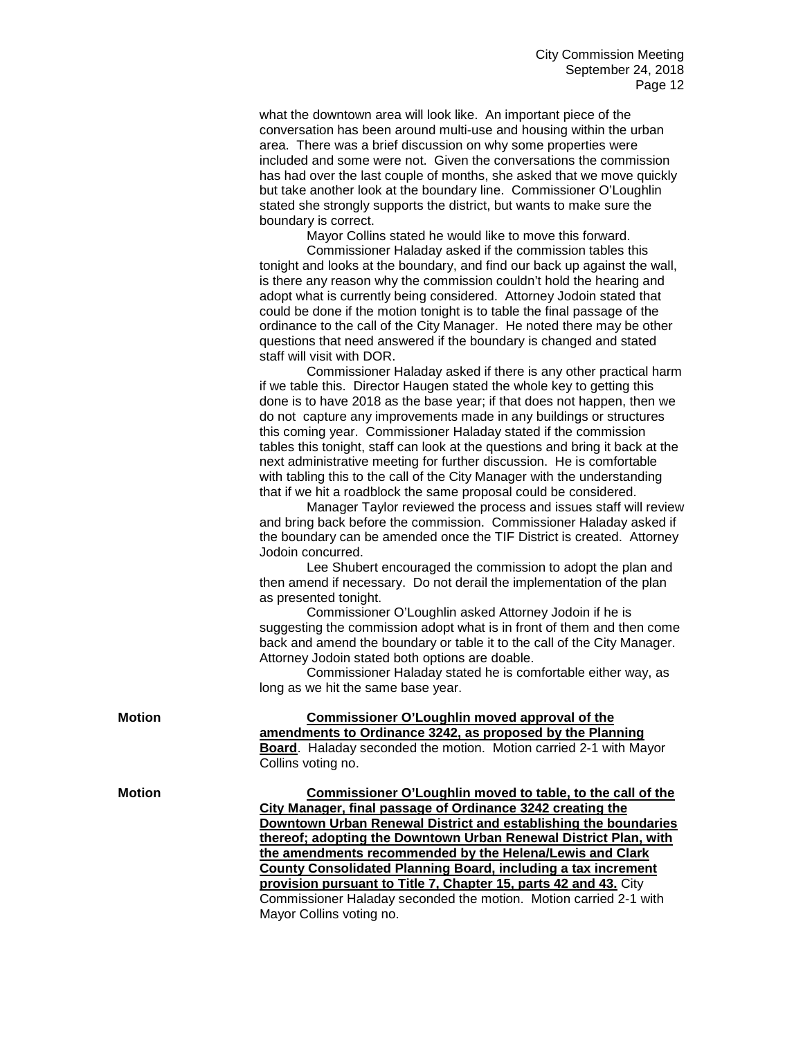what the downtown area will look like. An important piece of the conversation has been around multi-use and housing within the urban area. There was a brief discussion on why some properties were included and some were not. Given the conversations the commission has had over the last couple of months, she asked that we move quickly but take another look at the boundary line. Commissioner O'Loughlin stated she strongly supports the district, but wants to make sure the boundary is correct.

Mayor Collins stated he would like to move this forward.

Commissioner Haladay asked if the commission tables this tonight and looks at the boundary, and find our back up against the wall, is there any reason why the commission couldn't hold the hearing and adopt what is currently being considered. Attorney Jodoin stated that could be done if the motion tonight is to table the final passage of the ordinance to the call of the City Manager. He noted there may be other questions that need answered if the boundary is changed and stated staff will visit with DOR.

Commissioner Haladay asked if there is any other practical harm if we table this. Director Haugen stated the whole key to getting this done is to have 2018 as the base year; if that does not happen, then we do not capture any improvements made in any buildings or structures this coming year. Commissioner Haladay stated if the commission tables this tonight, staff can look at the questions and bring it back at the next administrative meeting for further discussion. He is comfortable with tabling this to the call of the City Manager with the understanding that if we hit a roadblock the same proposal could be considered.

Manager Taylor reviewed the process and issues staff will review and bring back before the commission. Commissioner Haladay asked if the boundary can be amended once the TIF District is created. Attorney Jodoin concurred.

Lee Shubert encouraged the commission to adopt the plan and then amend if necessary. Do not derail the implementation of the plan as presented tonight.

Commissioner O'Loughlin asked Attorney Jodoin if he is suggesting the commission adopt what is in front of them and then come back and amend the boundary or table it to the call of the City Manager. Attorney Jodoin stated both options are doable.

Commissioner Haladay stated he is comfortable either way, as long as we hit the same base year.

| Motion        | Commissioner O'Loughlin moved approval of the                            |
|---------------|--------------------------------------------------------------------------|
|               | amendments to Ordinance 3242, as proposed by the Planning                |
|               | <b>Board.</b> Haladay seconded the motion. Motion carried 2-1 with Mayor |
|               | Collins voting no.                                                       |
| <b>Motion</b> | Commissioner O'Loughlin moved to table, to the call of the               |
|               | City Manager, final passage of Ordinance 3242 creating the               |
|               | Downtown Urban Renewal District and establishing the boundaries          |
|               | thereof; adopting the Downtown Urban Renewal District Plan, with         |
|               | the amendments recommended by the Helena/Lewis and Clark                 |
|               | County Consolidated Planning Board, including a tax increment            |
|               | provision pursuant to Title 7, Chapter 15, parts 42 and 43. City         |
|               | Commissioner Haladay seconded the motion. Motion carried 2-1 with        |
|               | Mayor Collins voting no.                                                 |